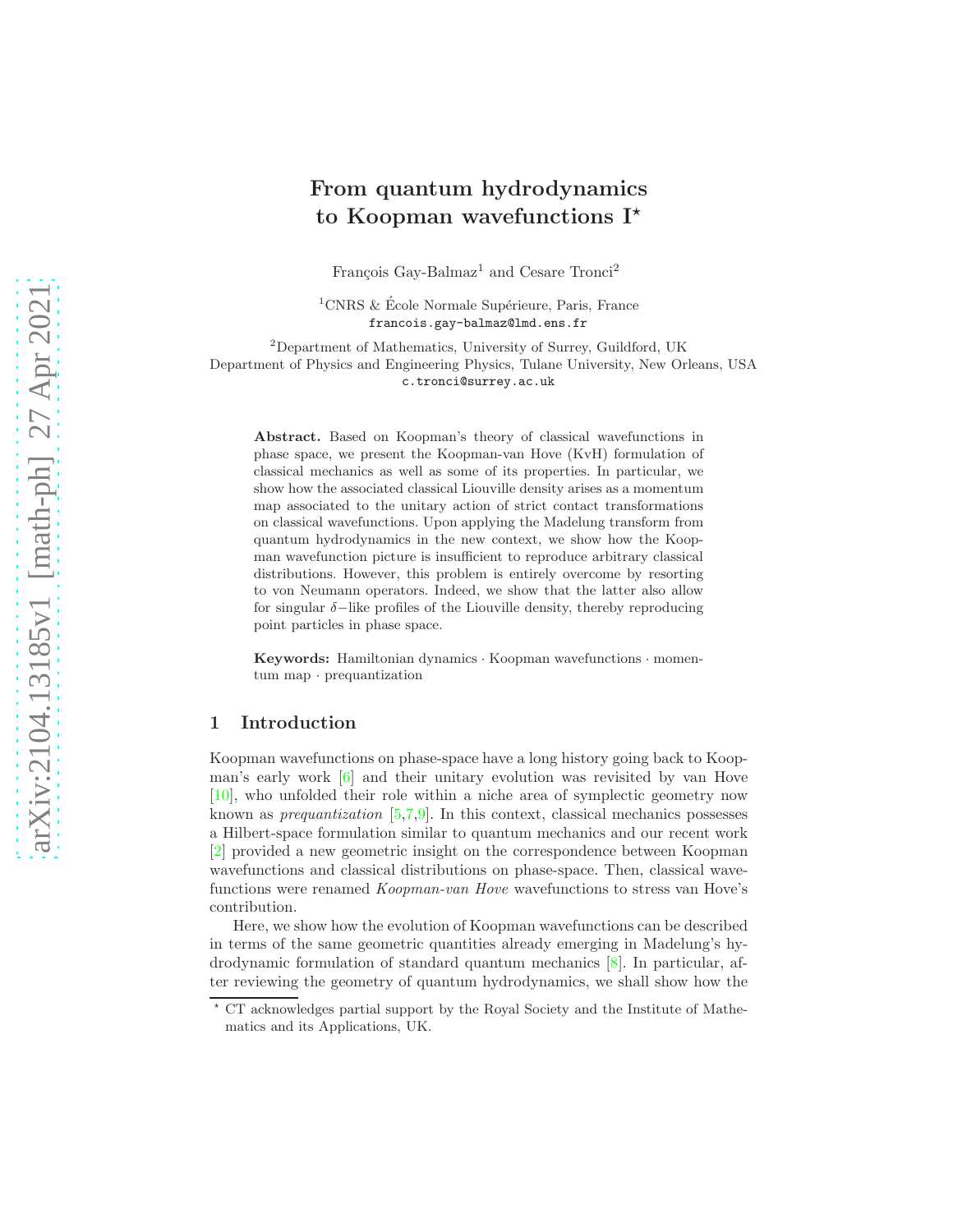# From quantum hydrodynamics to Koopman wavefunctions  $I^*$

François Gay-Balmaz<sup>1</sup> and Cesare Tronci<sup>2</sup>

<sup>1</sup>CNRS & École Normale Supérieure, Paris, France francois.gay-balmaz@lmd.ens.fr

<sup>2</sup>Department of Mathematics, University of Surrey, Guildford, UK Department of Physics and Engineering Physics, Tulane University, New Orleans, USA c.tronci@surrey.ac.uk

Abstract. Based on Koopman's theory of classical wavefunctions in phase space, we present the Koopman-van Hove (KvH) formulation of classical mechanics as well as some of its properties. In particular, we show how the associated classical Liouville density arises as a momentum map associated to the unitary action of strict contact transformations on classical wavefunctions. Upon applying the Madelung transform from quantum hydrodynamics in the new context, we show how the Koopman wavefunction picture is insufficient to reproduce arbitrary classical distributions. However, this problem is entirely overcome by resorting to von Neumann operators. Indeed, we show that the latter also allow for singular  $\delta$ -like profiles of the Liouville density, thereby reproducing point particles in phase space.

Keywords: Hamiltonian dynamics · Koopman wavefunctions · momentum map · prequantization

# 1 Introduction

Koopman wavefunctions on phase-space have a long history going back to Koopman's early work [\[6\]](#page-7-0) and their unitary evolution was revisited by van Hove [\[10\]](#page-7-1), who unfolded their role within a niche area of symplectic geometry now known as prequantization [\[5,](#page-7-2)[7,](#page-7-3)[9\]](#page-7-4). In this context, classical mechanics possesses a Hilbert-space formulation similar to quantum mechanics and our recent work [\[2\]](#page-7-5) provided a new geometric insight on the correspondence between Koopman wavefunctions and classical distributions on phase-space. Then, classical wavefunctions were renamed Koopman-van Hove wavefunctions to stress van Hove's contribution.

Here, we show how the evolution of Koopman wavefunctions can be described in terms of the same geometric quantities already emerging in Madelung's hydrodynamic formulation of standard quantum mechanics [\[8\]](#page-7-6). In particular, after reviewing the geometry of quantum hydrodynamics, we shall show how the

<sup>⋆</sup> CT acknowledges partial support by the Royal Society and the Institute of Mathematics and its Applications, UK.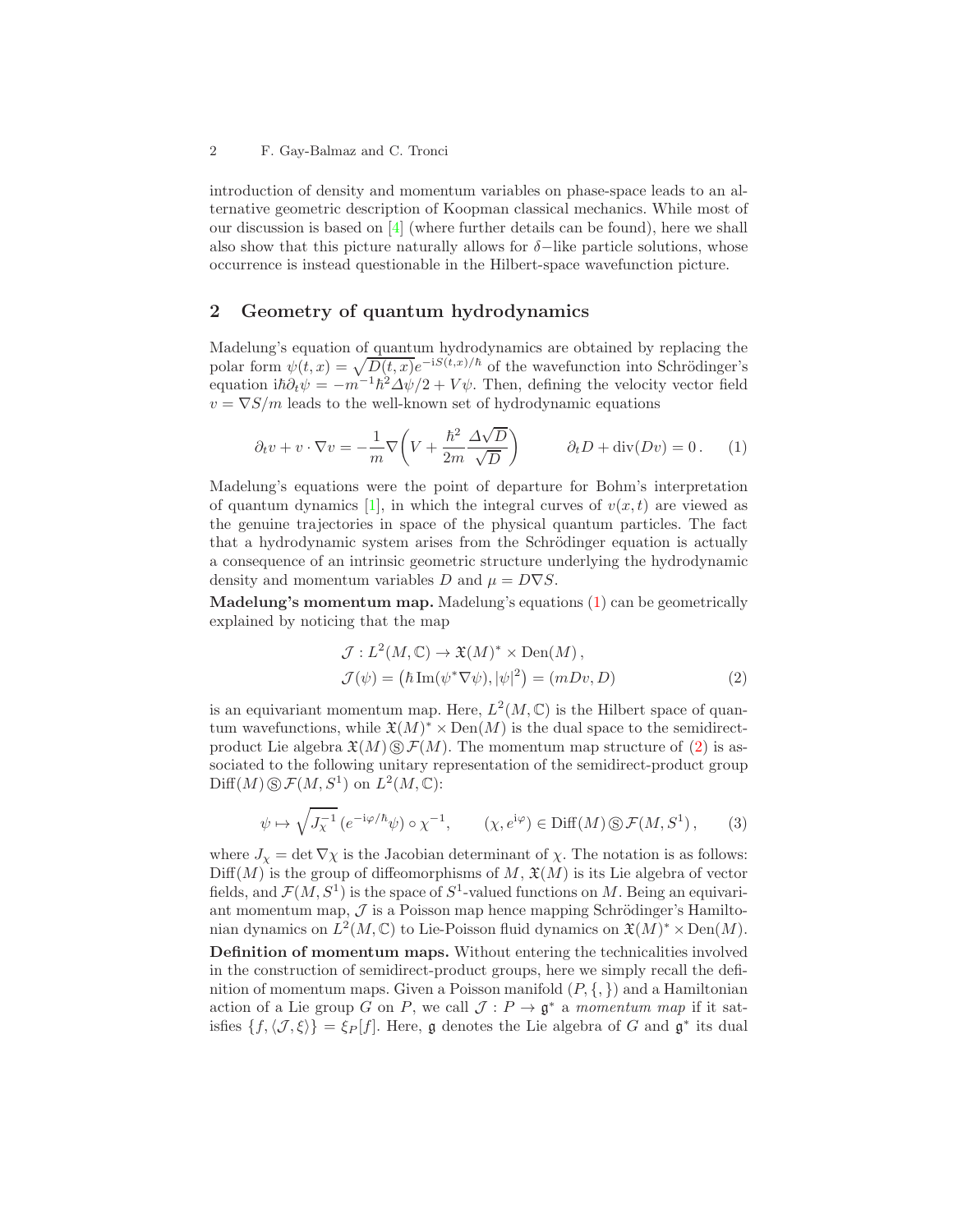introduction of density and momentum variables on phase-space leads to an alternative geometric description of Koopman classical mechanics. While most of our discussion is based on  $[4]$  (where further details can be found), here we shall also show that this picture naturally allows for  $\delta$ -like particle solutions, whose occurrence is instead questionable in the Hilbert-space wavefunction picture.

## 2 Geometry of quantum hydrodynamics

Madelung's equation of quantum hydrodynamics are obtained by replacing the polar form  $\psi(t, x) = \sqrt{D(t, x)}e^{-iS(t, x)/\hbar}$  of the wavefunction into Schrödinger's equation  $i\hbar \partial_t \psi = -m^{-1}\hbar^2 \Delta \psi/2 + V \psi$ . Then, defining the velocity vector field  $v = \nabla S/m$  leads to the well-known set of hydrodynamic equations

<span id="page-1-0"></span>
$$
\partial_t v + v \cdot \nabla v = -\frac{1}{m} \nabla \left( V + \frac{\hbar^2}{2m} \frac{\Delta \sqrt{D}}{\sqrt{D}} \right) \qquad \partial_t D + \text{div}(Dv) = 0. \tag{1}
$$

Madelung's equations were the point of departure for Bohm's interpretation of quantum dynamics [\[1\]](#page-7-8), in which the integral curves of  $v(x, t)$  are viewed as the genuine trajectories in space of the physical quantum particles. The fact that a hydrodynamic system arises from the Schrödinger equation is actually a consequence of an intrinsic geometric structure underlying the hydrodynamic density and momentum variables D and  $\mu = D\nabla S$ .

Madelung's momentum map. Madelung's equations [\(1\)](#page-1-0) can be geometrically explained by noticing that the map

<span id="page-1-1"></span>
$$
\mathcal{J}: L^{2}(M, \mathbb{C}) \to \mathfrak{X}(M)^{*} \times \text{Den}(M), \n\mathcal{J}(\psi) = (\hbar \operatorname{Im}(\psi^{*} \nabla \psi), |\psi|^{2}) = (mDv, D)
$$
\n(2)

is an equivariant momentum map. Here,  $L^2(M,\mathbb{C})$  is the Hilbert space of quantum wavefunctions, while  $\mathfrak{X}(M)^* \times \text{Den}(M)$  is the dual space to the semidirectproduct Lie algebra  $\mathfrak{X}(M) \otimes \mathfrak{F}(M)$ . The momentum map structure of [\(2\)](#page-1-1) is associated to the following unitary representation of the semidirect-product group  $\text{Diff}(M)\,\circledS\,\mathcal{F}(M,S^1)\,$  on  $L^2(M,\mathbb{C})$ :

<span id="page-1-2"></span>
$$
\psi \mapsto \sqrt{J_{\chi}^{-1}} \left( e^{-i\varphi/\hbar} \psi \right) \circ \chi^{-1}, \qquad (\chi, e^{i\varphi}) \in \text{Diff}(M) \circledS \mathcal{F}(M, S^1), \qquad (3)
$$

where  $J_{\chi} = \det \nabla \chi$  is the Jacobian determinant of  $\chi$ . The notation is as follows:  $\text{Diff}(M)$  is the group of diffeomorphisms of M,  $\mathfrak{X}(M)$  is its Lie algebra of vector fields, and  $\mathcal{F}(M, S^1)$  is the space of  $S^1$ -valued functions on M. Being an equivariant momentum map,  $\mathcal J$  is a Poisson map hence mapping Schrödinger's Hamiltonian dynamics on  $L^2(M, \mathbb{C})$  to Lie-Poisson fluid dynamics on  $\mathfrak{X}(M)^* \times \text{Den}(M)$ . Definition of momentum maps. Without entering the technicalities involved in the construction of semidirect-product groups, here we simply recall the definition of momentum maps. Given a Poisson manifold  $(P, \{,\})$  and a Hamiltonian action of a Lie group G on P, we call  $\mathcal{J}: P \to \mathfrak{g}^*$  a momentum map if it satisfies  $\{f, \langle J, \xi \rangle\} = \xi_P[f]$ . Here, g denotes the Lie algebra of G and  $\mathfrak{g}^*$  its dual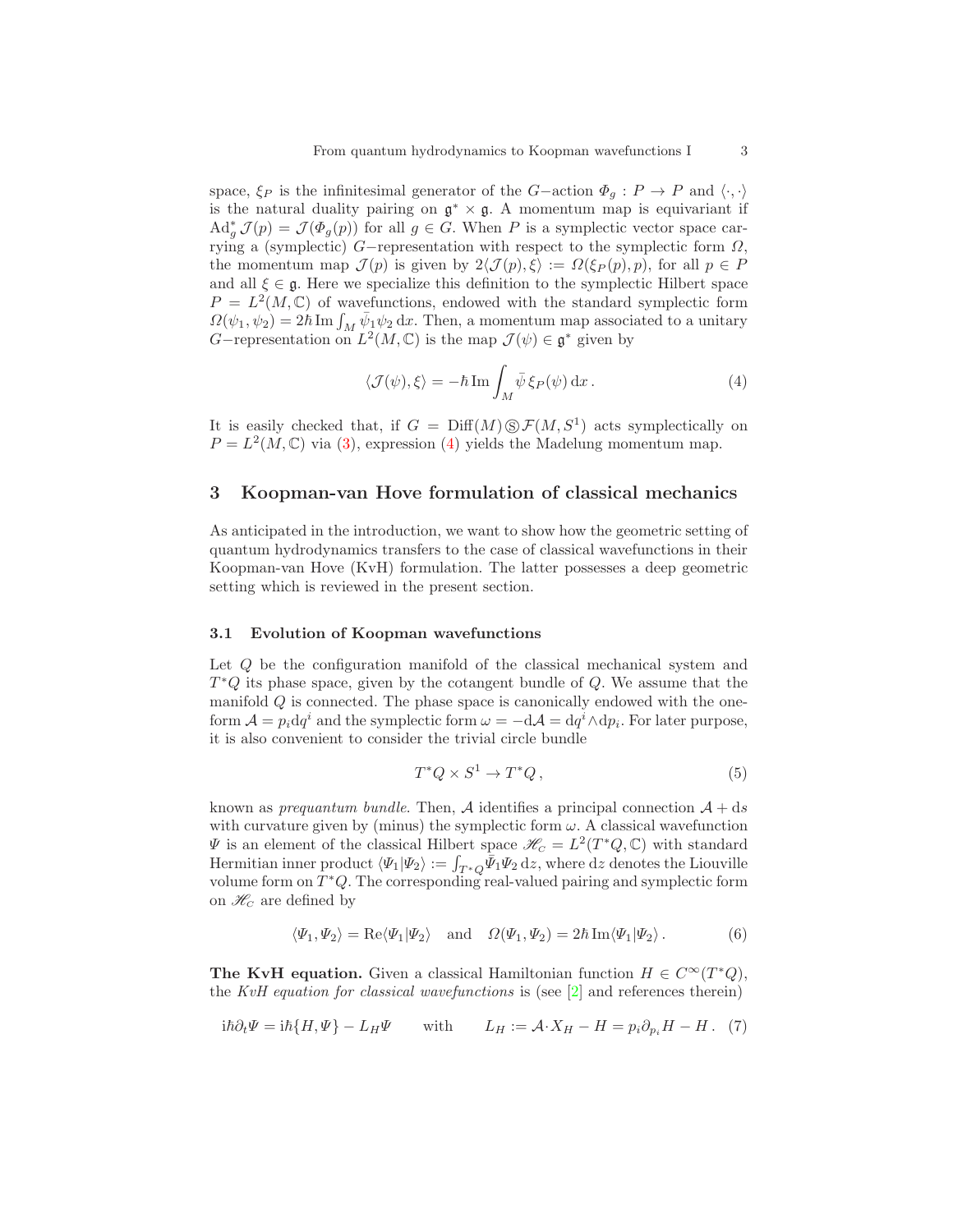space,  $\xi_P$  is the infinitesimal generator of the G-action  $\Phi_q : P \to P$  and  $\langle \cdot, \cdot \rangle$ is the natural duality pairing on  $g^* \times g$ . A momentum map is equivariant if  $\mathrm{Ad}^*_g \mathcal{J}(p) = \mathcal{J}(\Phi_g(p))$  for all  $g \in G$ . When P is a symplectic vector space carrying a (symplectic)  $G$ -representation with respect to the symplectic form  $\Omega$ , the momentum map  $\mathcal{J}(p)$  is given by  $2\langle \mathcal{J}(p), \xi \rangle := \Omega(\xi_P(p), p)$ , for all  $p \in P$ and all  $\xi \in \mathfrak{g}$ . Here we specialize this definition to the symplectic Hilbert space  $P = L^2(M, \mathbb{C})$  of wavefunctions, endowed with the standard symplectic form  $\Omega(\psi_1, \psi_2) = 2\hbar \operatorname{Im} \int_M \bar{\psi}_1 \psi_2 \, dx$ . Then, a momentum map associated to a unitary G-representation on  $L^2(M, \mathbb{C})$  is the map  $\mathcal{J}(\psi) \in \mathfrak{g}^*$  given by

<span id="page-2-0"></span>
$$
\langle \mathcal{J}(\psi), \xi \rangle = -\hbar \operatorname{Im} \int_M \bar{\psi} \xi_P(\psi) \, \mathrm{d}x \,. \tag{4}
$$

It is easily checked that, if  $G = \text{Diff}(M) \text{S} \mathcal{F}(M, S^1)$  acts symplectically on  $P = L<sup>2</sup>(M, \mathbb{C})$  via [\(3\)](#page-1-2), expression [\(4\)](#page-2-0) yields the Madelung momentum map.

## 3 Koopman-van Hove formulation of classical mechanics

As anticipated in the introduction, we want to show how the geometric setting of quantum hydrodynamics transfers to the case of classical wavefunctions in their Koopman-van Hove (KvH) formulation. The latter possesses a deep geometric setting which is reviewed in the present section.

## <span id="page-2-4"></span>3.1 Evolution of Koopman wavefunctions

Let Q be the configuration manifold of the classical mechanical system and  $T^*Q$  its phase space, given by the cotangent bundle of  $Q$ . We assume that the manifold Q is connected. The phase space is canonically endowed with the oneform  $\mathcal{A} = p_i dq^i$  and the symplectic form  $\omega = -d\mathcal{A} = dq^i \wedge dp_i$ . For later purpose, it is also convenient to consider the trivial circle bundle

<span id="page-2-3"></span>
$$
T^*Q \times S^1 \to T^*Q\,,\tag{5}
$$

known as *prequantum bundle*. Then, A identifies a principal connection  $A + ds$ with curvature given by (minus) the symplectic form  $\omega$ . A classical wavefunction  $\Psi$  is an element of the classical Hilbert space  $\mathscr{H}_C = L^2(T^*Q, \mathbb{C})$  with standard Hermitian inner product  $\langle \Psi_1 | \Psi_2 \rangle := \int_{T^*Q} \bar{\Psi}_1 \Psi_2 \, \mathrm{d}z$ , where  $\mathrm{d}z$  denotes the Liouville volume form on  $T^*Q$ . The corresponding real-valued pairing and symplectic form on  $\mathcal{H}_C$  are defined by

<span id="page-2-2"></span>
$$
\langle\Psi_1,\Psi_2\rangle = \text{Re}\langle\Psi_1|\Psi_2\rangle \text{ and } \Omega(\Psi_1,\Psi_2) = 2\hbar\operatorname{Im}\langle\Psi_1|\Psi_2\rangle.
$$
 (6)

The KvH equation. Given a classical Hamiltonian function  $H \in C^{\infty}(T^*Q)$ , the KvH equation for classical wavefunctions is (see  $[2]$  and references therein)

<span id="page-2-1"></span>
$$
i\hbar \partial_t \Psi = i\hbar \{H, \Psi\} - L_H \Psi
$$
 with  $L_H := \mathcal{A} \cdot X_H - H = p_i \partial_{p_i} H - H$ . (7)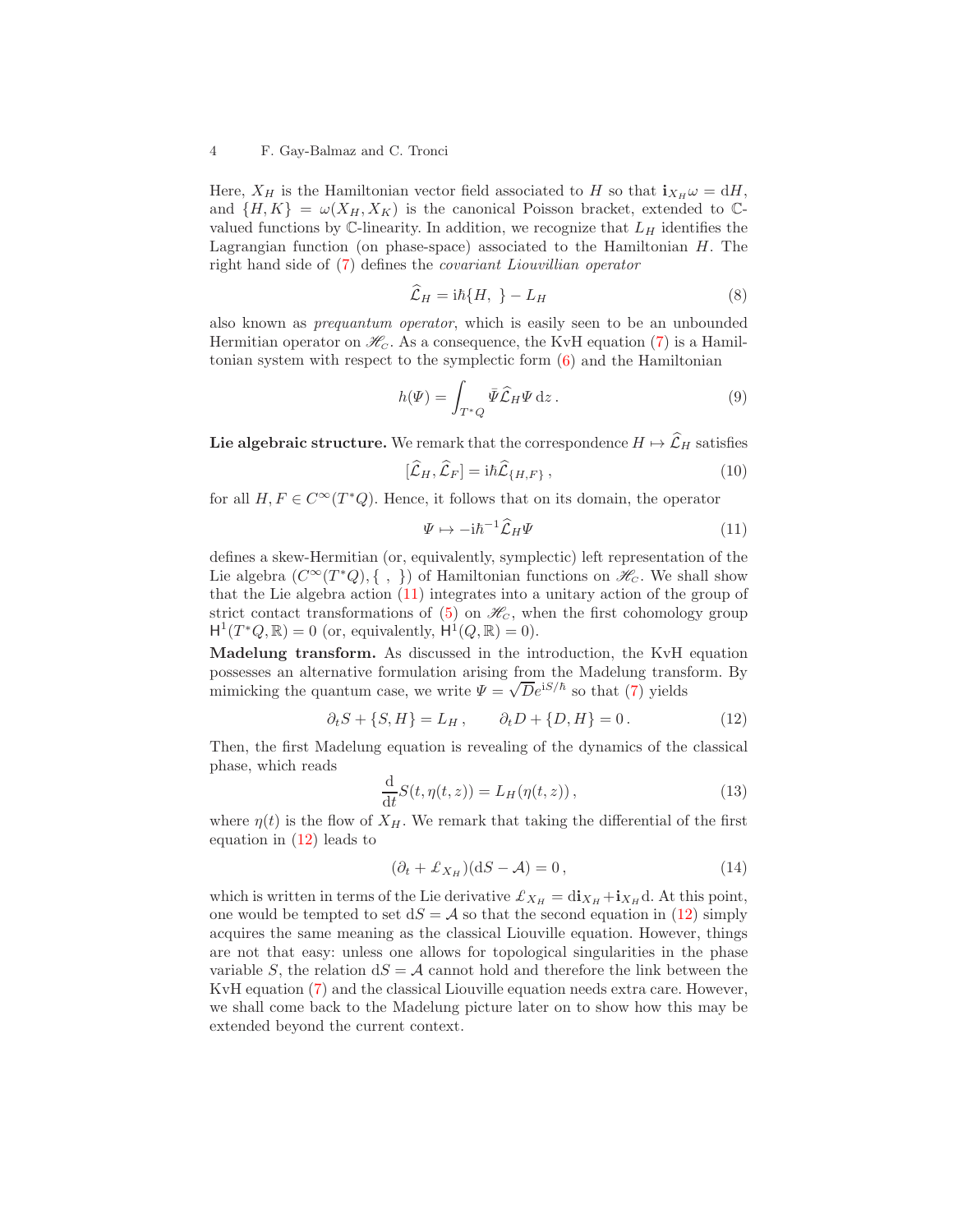#### 4 F. Gay-Balmaz and C. Tronci

Here,  $X_H$  is the Hamiltonian vector field associated to H so that  $i_{X_H} \omega = dH$ , and  $\{H, K\} = \omega(X_H, X_K)$  is the canonical Poisson bracket, extended to Cvalued functions by  $\mathbb{C}$ -linearity. In addition, we recognize that  $L_H$  identifies the Lagrangian function (on phase-space) associated to the Hamiltonian  $H$ . The right hand side of [\(7\)](#page-2-1) defines the covariant Liouvillian operator

$$
\widehat{\mathcal{L}}_H = i\hbar \{H, \ \} - L_H \tag{8}
$$

also known as prequantum operator, which is easily seen to be an unbounded Hermitian operator on  $\mathcal{H}_C$ . As a consequence, the KvH equation [\(7\)](#page-2-1) is a Hamiltonian system with respect to the symplectic form [\(6\)](#page-2-2) and the Hamiltonian

<span id="page-3-2"></span>
$$
h(\Psi) = \int_{T^*Q} \bar{\Psi} \widehat{\mathcal{L}}_H \Psi \, \mathrm{d}z \,. \tag{9}
$$

Lie algebraic structure. We remark that the correspondence  $H \mapsto \widehat{\mathcal{L}}_H$  satisfies

$$
[\hat{\mathcal{L}}_H, \hat{\mathcal{L}}_F] = i\hbar \hat{\mathcal{L}}_{\{H, F\}},
$$
\n(10)

for all  $H, F \in C^{\infty}(T^*Q)$ . Hence, it follows that on its domain, the operator

<span id="page-3-0"></span>
$$
\Psi \mapsto -i\hbar^{-1}\widehat{\mathcal{L}}_H\Psi \tag{11}
$$

defines a skew-Hermitian (or, equivalently, symplectic) left representation of the Lie algebra  $(C^{\infty}(T^*Q), \{\ ,\ \})$  of Hamiltonian functions on  $\mathscr{H}_C$ . We shall show that the Lie algebra action [\(11\)](#page-3-0) integrates into a unitary action of the group of strict contact transformations of  $(5)$  on  $\mathcal{H}_c$ , when the first cohomology group  $H^1(T^*Q,\mathbb{R})=0$  (or, equivalently,  $H^1(Q,\mathbb{R})=0$ ).

Madelung transform. As discussed in the introduction, the KvH equation possesses an alternative formulation arising from the Madelung transform. By mimicking the quantum case, we write  $\Psi = \sqrt{D}e^{iS/\hbar}$  so that [\(7\)](#page-2-1) yields

<span id="page-3-1"></span>
$$
\partial_t S + \{S, H\} = L_H, \qquad \partial_t D + \{D, H\} = 0.
$$
 (12)

Then, the first Madelung equation is revealing of the dynamics of the classical phase, which reads

$$
\frac{\mathrm{d}}{\mathrm{d}t}S(t,\eta(t,z)) = L_H(\eta(t,z)),\tag{13}
$$

where  $\eta(t)$  is the flow of  $X_H$ . We remark that taking the differential of the first equation in  $(12)$  leads to

$$
(\partial_t + \mathcal{L}_{X_H})(dS - \mathcal{A}) = 0, \qquad (14)
$$

which is written in terms of the Lie derivative  $\mathcal{L}_{X_H} = \text{di}_{X_H} + \text{i}_{X_H} \text{d}$ . At this point, one would be tempted to set  $dS = A$  so that the second equation in [\(12\)](#page-3-1) simply acquires the same meaning as the classical Liouville equation. However, things are not that easy: unless one allows for topological singularities in the phase variable S, the relation  $dS = A$  cannot hold and therefore the link between the KvH equation [\(7\)](#page-2-1) and the classical Liouville equation needs extra care. However, we shall come back to the Madelung picture later on to show how this may be extended beyond the current context.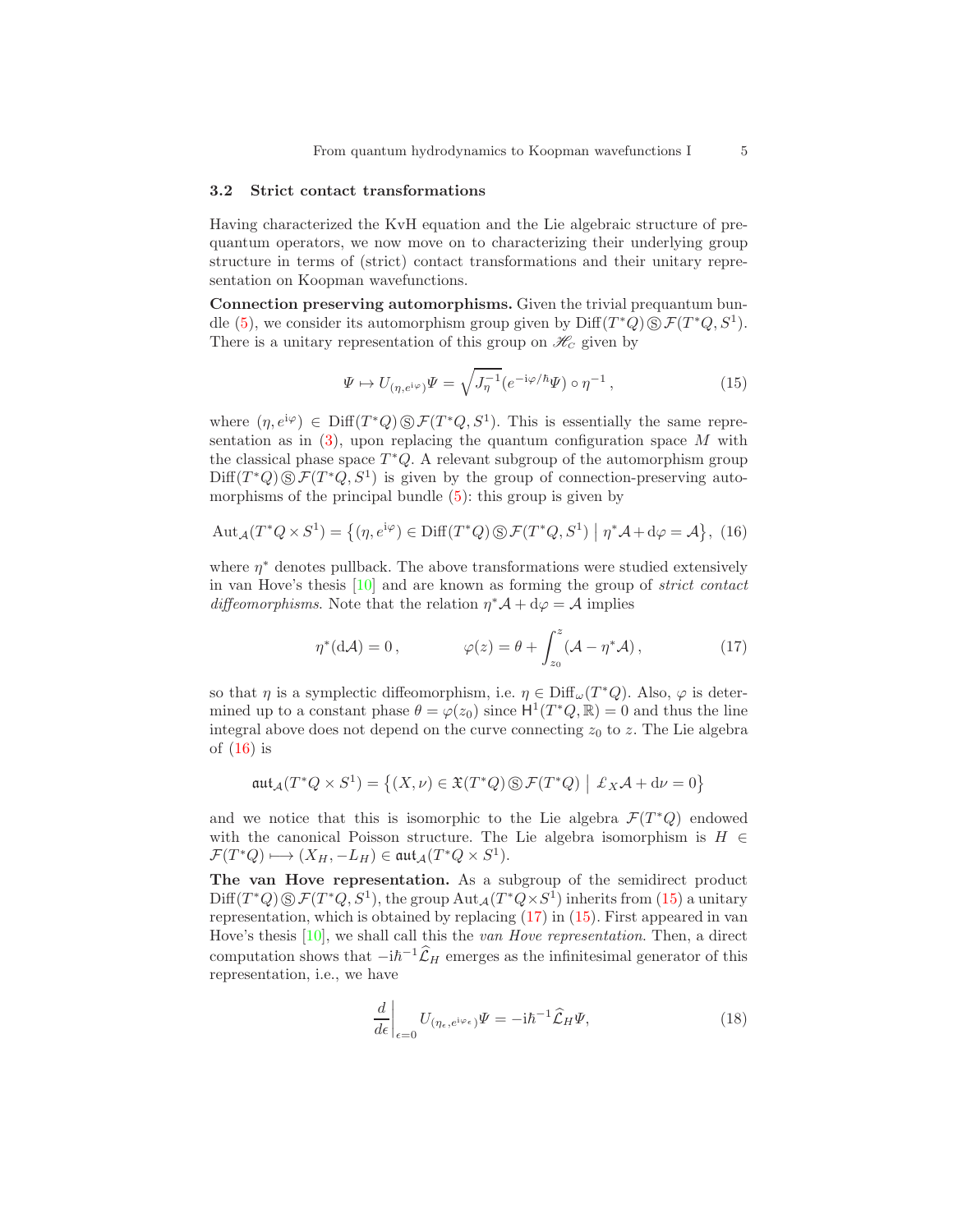### 3.2 Strict contact transformations

Having characterized the KvH equation and the Lie algebraic structure of prequantum operators, we now move on to characterizing their underlying group structure in terms of (strict) contact transformations and their unitary representation on Koopman wavefunctions.

Connection preserving automorphisms. Given the trivial prequantum bun-dle [\(5\)](#page-2-3), we consider its automorphism group given by  $\text{Diff}(T^*Q)\,\circledS\,\mathcal{F}(T^*Q, S^1)$ . There is a unitary representation of this group on  $\mathcal{H}_C$  given by

<span id="page-4-1"></span>
$$
\Psi \mapsto U_{(\eta, e^{i\varphi})}\Psi = \sqrt{J_{\eta}^{-1}} (e^{-i\varphi/\hbar}\Psi) \circ \eta^{-1}, \qquad (15)
$$

where  $(\eta, e^{i\varphi}) \in \text{Diff}(T^*Q) \otimes \mathcal{F}(T^*Q, S^1)$ . This is essentially the same representation as in  $(3)$ , upon replacing the quantum configuration space M with the classical phase space  $T^*Q$ . A relevant subgroup of the automorphism group  $Diff(T^*Q) \textcircled{s} \mathcal{F}(T^*Q, S^1)$  is given by the group of connection-preserving automorphisms of the principal bundle  $(5)$ : this group is given by

<span id="page-4-0"></span>
$$
Aut_{\mathcal{A}}(T^*Q\times S^1) = \left\{ (\eta, e^{\mathrm{i}\varphi}) \in \mathrm{Diff}(T^*Q) \,\circledS\,\mathcal{F}(T^*Q, S^1) \bigm| \eta^*\mathcal{A} + \mathrm{d}\varphi = \mathcal{A} \right\},\tag{16}
$$

where  $\eta^*$  denotes pullback. The above transformations were studied extensively in van Hove's thesis [\[10\]](#page-7-1) and are known as forming the group of strict contact diffeomorphisms. Note that the relation  $\eta^* A + d\varphi = A$  implies

<span id="page-4-2"></span>
$$
\eta^*(d\mathcal{A}) = 0, \qquad \varphi(z) = \theta + \int_{z_0}^z (\mathcal{A} - \eta^* \mathcal{A}), \qquad (17)
$$

so that  $\eta$  is a symplectic diffeomorphism, i.e.  $\eta \in \text{Diff}_{\omega}(T^*Q)$ . Also,  $\varphi$  is determined up to a constant phase  $\theta = \varphi(z_0)$  since  $H^1(T^*Q, \mathbb{R}) = 0$  and thus the line integral above does not depend on the curve connecting  $z_0$  to z. The Lie algebra of  $(16)$  is

$$
\mathfrak{aut}_{\mathcal A}(T^*Q\times S^1)=\left\{(X,\nu)\in\mathfrak{X}(T^*Q)\,\circledS\,\mathcal{F}(T^*Q)\,\left|\right.\,\pounds_X\mathcal{A}+\mathrm{d}\nu=0\right\}
$$

and we notice that this is isomorphic to the Lie algebra  $\mathcal{F}(T^*Q)$  endowed with the canonical Poisson structure. The Lie algebra isomorphism is  $H \in$  $\mathcal{F}(T^*Q) \longmapsto (X_H, -L_H) \in \mathfrak{aut}_{\mathcal{A}}(T^*Q \times S^1).$ 

The van Hove representation. As a subgroup of the semidirect product  $Diff(T^*Q) \textcircled{s} \mathcal{F}(T^*Q, S^1)$ , the group  $Aut_{\mathcal{A}}(T^*Q \times S^1)$  inherits from [\(15\)](#page-4-1) a unitary representation, which is obtained by replacing [\(17\)](#page-4-2) in [\(15\)](#page-4-1). First appeared in van Hove's thesis  $[10]$ , we shall call this the *van Hove representation*. Then, a direct computation shows that  $-i\hbar^{-1}\widehat{\mathcal{L}}_H$  emerges as the infinitesimal generator of this representation, i.e., we have

$$
\left. \frac{d}{d\epsilon} \right|_{\epsilon=0} U_{(\eta_{\epsilon}, e^{i\varphi_{\epsilon}})} \Psi = -i\hbar^{-1} \widehat{\mathcal{L}}_H \Psi,\tag{18}
$$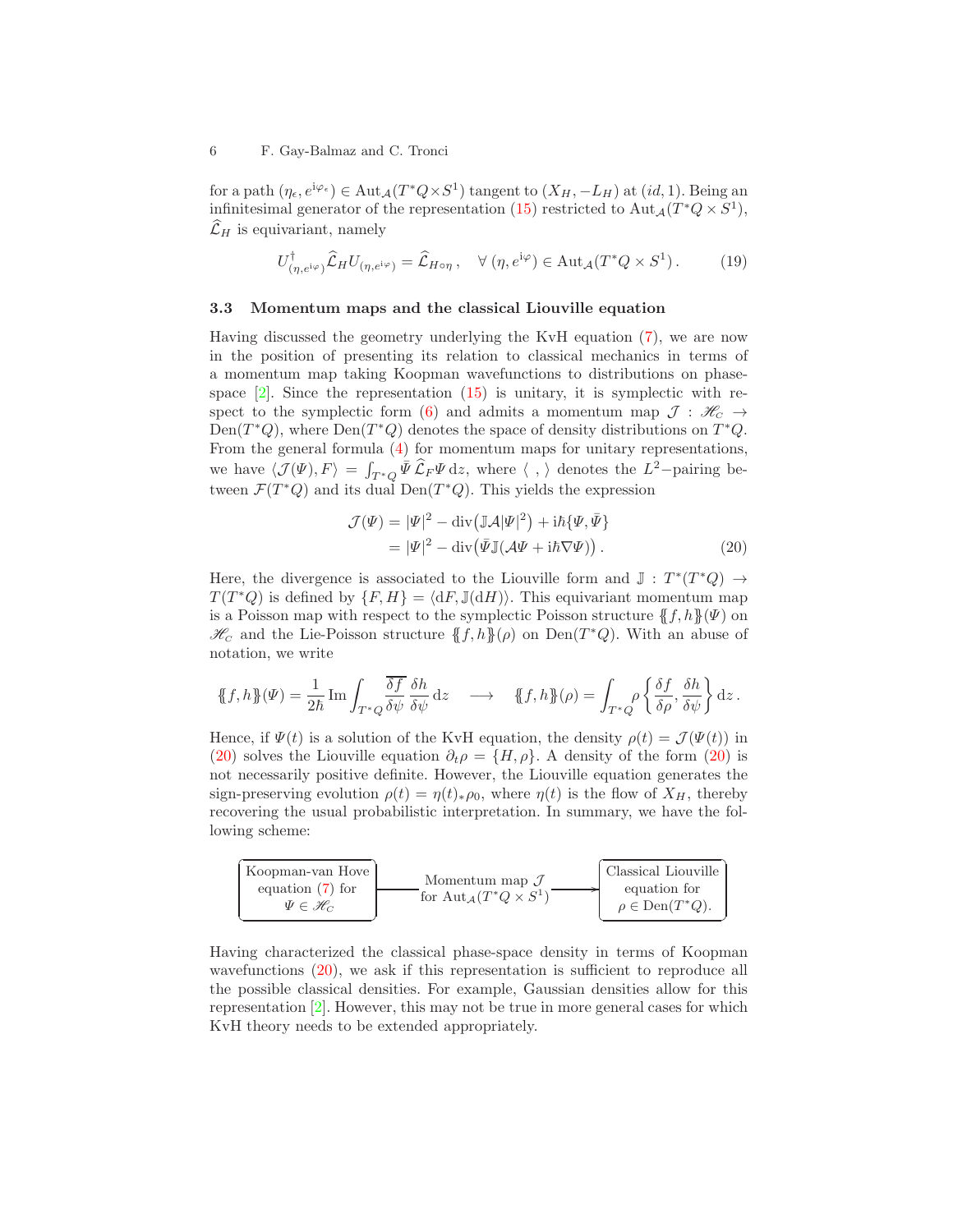for a path  $(\eta_{\epsilon}, e^{i\varphi_{\epsilon}}) \in \text{Aut}_{\mathcal{A}}(T^*Q \times S^1)$  tangent to  $(X_H, -L_H)$  at  $(id, 1)$ . Being an infinitesimal generator of the representation [\(15\)](#page-4-1) restricted to  $\text{Aut}_{\mathcal{A}}(T^*Q \times S^1)$ ,  $\widehat{\mathcal{L}}_H$  is equivariant, namely

$$
U^{\dagger}_{(\eta, e^{i\varphi})} \hat{\mathcal{L}}_H U_{(\eta, e^{i\varphi})} = \hat{\mathcal{L}}_{H \circ \eta} , \quad \forall (\eta, e^{i\varphi}) \in \text{Aut}_{\mathcal{A}}(T^*Q \times S^1) .
$$
 (19)

## 3.3 Momentum maps and the classical Liouville equation

Having discussed the geometry underlying the KvH equation [\(7\)](#page-2-1), we are now in the position of presenting its relation to classical mechanics in terms of a momentum map taking Koopman wavefunctions to distributions on phasespace  $[2]$ . Since the representation  $(15)$  is unitary, it is symplectic with re-spect to the symplectic form [\(6\)](#page-2-2) and admits a momentum map  $\mathcal{J}: \mathcal{H}_C \rightarrow$ Den( $T^*Q$ ), where Den( $T^*Q$ ) denotes the space of density distributions on  $T^*Q$ . From the general formula [\(4\)](#page-2-0) for momentum maps for unitary representations, we have  $\langle \mathcal{J}(\Psi), F \rangle = \int_{T^*Q} \bar{\Psi} \hat{\mathcal{L}}_F \Psi \, \mathrm{d}z$ , where  $\langle , \rangle$  denotes the  $L^2$ -pairing between  $\mathcal{F}(T^*Q)$  and its dual  $Den(T^*Q)$ . This yields the expression

<span id="page-5-0"></span>
$$
\mathcal{J}(\Psi) = |\Psi|^2 - \text{div}(\mathbb{J}\mathcal{A}|\Psi|^2) + i\hbar\{\Psi,\bar{\Psi}\}\
$$

$$
= |\Psi|^2 - \text{div}(\bar{\Psi}\mathbb{J}(\mathcal{A}\Psi + i\hbar\nabla\Psi)).
$$
 (20)

Here, the divergence is associated to the Liouville form and  $\mathbb{J}: T^*(T^*Q) \to$  $T(T^*Q)$  is defined by  $\{F, H\} = \langle dF, \mathbb{J}(dH)\rangle$ . This equivariant momentum map is a Poisson map with respect to the symplectic Poisson structure  ${f, h}(W)$  on  $\mathcal{H}_c$  and the Lie-Poisson structure  $\{f, h\}(\rho)$  on  $Den(T^*Q)$ . With an abuse of notation, we write

$$
\{\!\!\{f,h\}\!\!\}(\varPsi) = \frac{1}{2\hbar}\operatorname{Im}\int_{T^\ast Q} \!\!\frac{\overline{\delta f}}{\delta \psi}\frac{\delta h}{\delta \psi}\,\mathrm{d} z \quad \longrightarrow \quad \{\!\!\{f,h\}\!\!\}(\rho) = \int_{T^\ast Q} \!\!\!\rho \left\{\frac{\delta f}{\delta \rho},\frac{\delta h}{\delta \psi}\right\}\mathrm{d} z \,.
$$

Hence, if  $\Psi(t)$  is a solution of the KvH equation, the density  $\rho(t) = \mathcal{J}(\Psi(t))$  in [\(20\)](#page-5-0) solves the Liouville equation  $\partial_t \rho = \{H, \rho\}$ . A density of the form [\(20\)](#page-5-0) is not necessarily positive definite. However, the Liouville equation generates the sign-preserving evolution  $\rho(t) = \eta(t) * \rho_0$ , where  $\eta(t)$  is the flow of  $X_H$ , thereby recovering the usual probabilistic interpretation. In summary, we have the following scheme:



Having characterized the classical phase-space density in terms of Koopman wavefunctions [\(20\)](#page-5-0), we ask if this representation is sufficient to reproduce all the possible classical densities. For example, Gaussian densities allow for this representation [\[2\]](#page-7-5). However, this may not be true in more general cases for which KvH theory needs to be extended appropriately.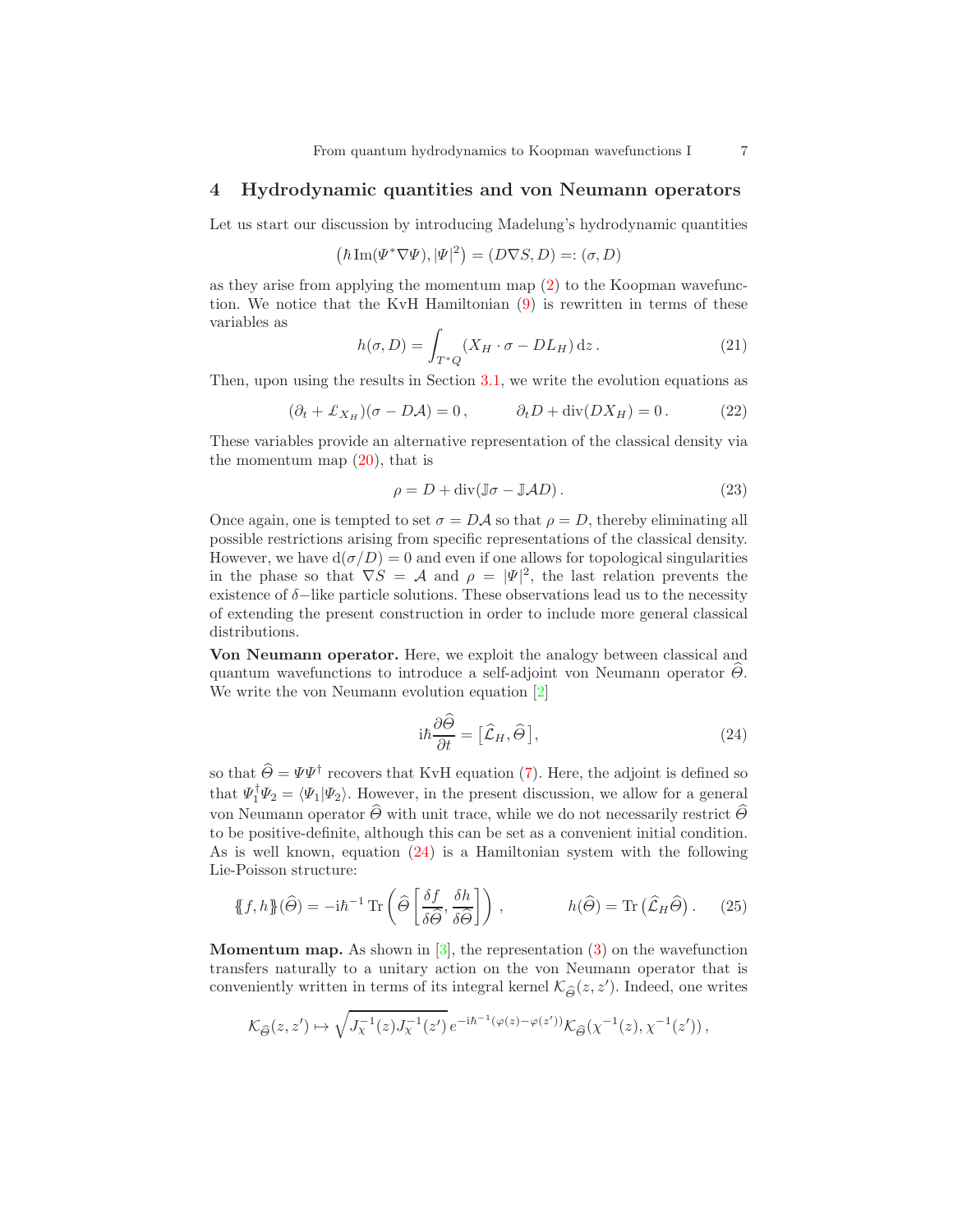## 4 Hydrodynamic quantities and von Neumann operators

Let us start our discussion by introducing Madelung's hydrodynamic quantities

$$
\left(\hbar\mathop{\rm Im}\nolimits(\varPsi^*\nabla\varPsi),|\varPsi|^2\right)=(D\nabla S,D)=:(\sigma,D)
$$

as they arise from applying the momentum map [\(2\)](#page-1-1) to the Koopman wavefunction. We notice that the KvH Hamiltonian [\(9\)](#page-3-2) is rewritten in terms of these variables as

<span id="page-6-2"></span>
$$
h(\sigma, D) = \int_{T^*Q} (X_H \cdot \sigma - DL_H) \, \mathrm{d}z \,. \tag{21}
$$

Then, upon using the results in Section [3.1,](#page-2-4) we write the evolution equations as

<span id="page-6-3"></span>
$$
(\partial_t + \pounds_{X_H})(\sigma - D\mathcal{A}) = 0, \qquad \partial_t D + \text{div}(DX_H) = 0. \tag{22}
$$

These variables provide an alternative representation of the classical density via the momentum map  $(20)$ , that is

<span id="page-6-4"></span>
$$
\rho = D + \operatorname{div}(\mathbb{J}\sigma - \mathbb{J}AD). \tag{23}
$$

Once again, one is tempted to set  $\sigma = D\mathcal{A}$  so that  $\rho = D$ , thereby eliminating all possible restrictions arising from specific representations of the classical density. However, we have  $d(\sigma/D) = 0$  and even if one allows for topological singularities in the phase so that  $\nabla S = A$  and  $\rho = |\Psi|^2$ , the last relation prevents the existence of  $\delta$ −like particle solutions. These observations lead us to the necessity of extending the present construction in order to include more general classical distributions.

Von Neumann operator. Here, we exploit the analogy between classical and quantum wavefunctions to introduce a self-adjoint von Neumann operator  $\Theta$ . We write the von Neumann evolution equation [\[2\]](#page-7-5)

<span id="page-6-0"></span>
$$
i\hbar \frac{\partial \hat{\theta}}{\partial t} = [\hat{\mathcal{L}}_H, \hat{\theta}], \qquad (24)
$$

so that  $\hat{\Theta} = \Psi \Psi^{\dagger}$  recovers that KvH equation [\(7\)](#page-2-1). Here, the adjoint is defined so that  $\Psi_1^{\dagger} \Psi_2 = \langle \Psi_1 | \Psi_2 \rangle$ . However, in the present discussion, we allow for a general von Neumann operator  $\widehat{\Theta}$  with unit trace, while we do not necessarily restrict  $\widehat{\Theta}$ to be positive-definite, although this can be set as a convenient initial condition. As is well known, equation [\(24\)](#page-6-0) is a Hamiltonian system with the following Lie-Poisson structure:

<span id="page-6-1"></span>
$$
\{\!\!\{\!f,h\}\!\!\}\,(\widehat{\Theta}) = -i\hbar^{-1}\operatorname{Tr}\left(\widehat{\Theta}\left[\frac{\delta f}{\delta\widehat{\Theta}}, \frac{\delta h}{\delta\widehat{\Theta}}\right]\right), \qquad h(\widehat{\Theta}) = \operatorname{Tr}\left(\widehat{\mathcal{L}}_H\widehat{\Theta}\right). \tag{25}
$$

**Momentum map.** As shown in  $[3]$ , the representation  $(3)$  on the wavefunction transfers naturally to a unitary action on the von Neumann operator that is conveniently written in terms of its integral kernel  $\mathcal{K}_{\widehat{\Theta}}(z, z').$  Indeed, one writes

$$
\mathcal{K}_{\widehat{\Theta}}(z, z') \mapsto \sqrt{J_{\chi}^{-1}(z) J_{\chi}^{-1}(z')} e^{-i\hbar^{-1}(\varphi(z) - \varphi(z'))} \mathcal{K}_{\widehat{\Theta}}(\chi^{-1}(z), \chi^{-1}(z')) \,,
$$